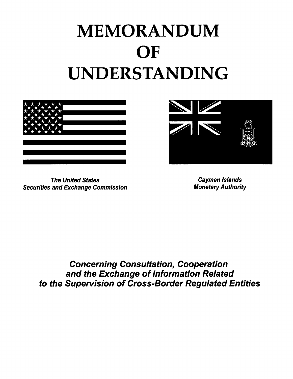# MEMORANDUM **OF** UNDERSTANDING



The United States Cayman Islands Securities and Exchange Commission



Concerning Consultation, Cooperation and the Exchange of Information Related to the Supervision of Cross-Border Regulated Entities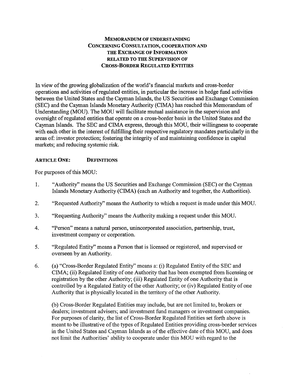# MEMORANDUM OF UNDERSTANDING CONCERNING CONSULTATION, COOPERATION AND THE EXCHANGE OF INFORMATION RELATED TO THE SUPERVISION OF CROSS-BORDER REGULATED ENTITIES

In view of the growing globalization of the world's financial markets and cross-border operations and activities ofregulated entities, in particular the increase in hedge fund activities between the United States and the Cayman Islands, the US Securities and Exchange Commission (SEC) and the Cayman Islands Monetary Authority (CIMA) has reached this Memorandum of Understanding (MOU). The MOU will facilitate mutual assistance in the supervision and oversight of regulated entities that operate on a cross-border basis in the United States and the Cayman Islands. The SEC and CIMA express, through this MOU, their willingness to cooperate with each other in the interest of fulfilling their respective regulatory mandates particularly in the areas of: investor protection; fostering the integrity of and maintaining confidence in capital markets; and reducing systemic risk.

#### ARTICLE ONE: DEFINITIONS

For purposes of this MOU:

- 1. "Authority" means the US Securities and Exchange Commission (SEC) or the Cayman Islands Monetary Authority (CIMA) (each an Authority and together, the Authorities).
- 2. "Requested Authority" means the Authority to which a request is made under this MOU.
- 3. "Requesting Authority" means the Authority making a request under this MOU.
- 4. "Person" means a natural person, unincorporated association, partnership, trust, investment company or corporation.
- 5. "Regulated Entity" means a Person that is licensed or registered, and supervised or overseen by an Authority.
- 6. (a) "Cross-Border Regulated Entity" means a: (i) Regulated Entity of the SEC and CIMA; (ii) Regulated Entity of one Authority that has been exempted from licensing or registration by the other Authority; (iii) Regulated Entity of one Authority that is controlled by a Regulated Entity of the other Authority; or (iv) Regulated Entity of one Authority that is physically located in the territory of the other Authority.

(b) Cross-Border Regulated Entities may include, but are not limited to, brokers or dealers; investment advisers; and investment fund managers or investment companies. For purposes of clarity, the list of Cross-Border Regulated Entities set forth above is meant to be illustrative of the types of Regulated Entities providing cross-border services in the United States and Cayman Islands as of the effective date of this MOU, and does not limit the Authorities' ability to cooperate under this MOU with regard to the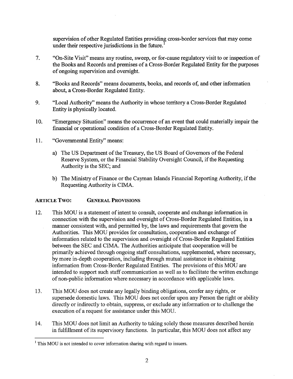supervision of other Regulated Entities providing cross-border services that may come under their respective jurisdictions in the future.

- 7. "On-Site Visit" means any routine, sweep, or for-cause regulatory visit to or inspection of the Books and Records and premises of a Cross-Border Regulated Entity for the purposes of ongoing supervision and oversight.
- 8. "Books and Records" means documents, books, and records of, and other information about, a Cross-Border Regulated Entity.
- 9. "Local Authority" means the Authority in whose territory a Cross-Border Regulated Entity is physically located.
- 10. "Emergency Situation" means the occurrence of an event that could materially impair the financial or operational condition of a Cross-Border Regulated Entity.
- 11. "Governmental Entity" means:
	- a) The US Department of the Treasury, the US Board of Governors of the Federal Reserve System, or the Financial Stability Oversight Council, if the Requesting Authority is the SEC; and
	- b) The Ministry of Finance or the Cayman Islands Financial Reporting Authority, if the Requesting Authority is CIMA.

## ARTICLE Two: GENERAL PROVISIONS

- 12. This MOU is a statement of intent to consult, cooperate and exchange information in connection with the supervision and oversight of Cross-Border Regulated Entities, in a manner consistent with, and permitted by, the laws and requirements that govern the Authorities. This MOU provides for consultation, cooperation and exchange of information related to the supervision and oversight of Cross-Border Regulated Entities between the SEC and CIMA. The Authorities anticipate that cooperation will be primarily achieved through ongoing staff consultations, supplemented, where necessary, by more in-depth cooperation, including through mutual assistance in obtaining information from Cross-Border Regulated Entities. The provisions ofthis MOU are intended to support such staff communication as well as to facilitate the written exchange ofnon-public information where necessary in accordance with applicable laws.
- 13. This MOU does not create any legally binding obligations, confer any rights, or supersede domestic laws. This MOU does not confer upon any Person the right or ability directly or indirectly to obtain, suppress, or exclude any information or to challenge the execution of a request for assistance under this MOU.
- 14. This MOU does not limit an Authority to taking solely those measures described herein in fulfillment of its supervisory functions. In particular, this MOU does not affect any

<sup>&</sup>lt;sup>1</sup> This MOU is not intended to cover information sharing with regard to issuers.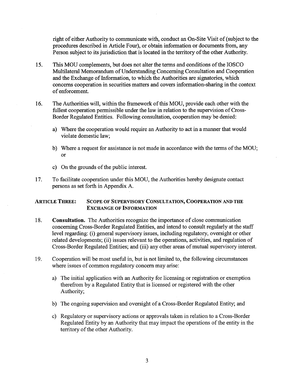right of either Authority to communicate with, conduct an On-Site Visit of(subject to the procedures described in Article Four), or obtain information or documents from, any Person subject to its jurisdiction that is located in the territory of the other Authority.

- 15. This MOU complements, but does not alter the tenns and conditions ofthe 10SCO Multilateral Memorandum of Understanding Concerning Consultation and Cooperation and the Exchange of Information, to which the Authorities are signatories, which concerns cooperation in securities matters and covers infonnation-sharing in the context of enforcement.
- 16. The Authorities will, within the framework of this MOU, provide each other with the fullest cooperation permissible under the law in relation to the supervision of Cross-Border Regulated Entities. Following consultation, cooperation may be denied:
	- a) Where the cooperation would require an Authority to act in a manner that would violate domestic law;
	- b) Where a request for assistance is not made in accordance with the terms of the MOU; or
	- c) On the grounds of the public interest.
- 17. To facilitate cooperation under this MOU, the Authorities hereby designate contact persons as set forth in Appendix A.

#### ARTICLE THREE: SCOPE OF SUPERVISORY CONSULTATION, COOPERATION AND THE EXCHANGE OF INFORMATION

- 18. **Consultation.** The Authorities recognize the importance of close communication concerning Cross-Border Regulated Entities, and intend to consult regularly at the staff level regarding: (i) general supervisory issues, including regulatory, oversight or other related developments; (ii) issues relevant to the operations, activities, and regulation of Cross-Border Regulated Entities; and (iii) any other areas of mutual supervisory interest.
- 19. Cooperation will be most useful in, but is not limited to, the following circumstances where issues of common regulatory concern may arise:
	- a) The initial application with an Authority for licensing or registration or exemption therefrom by a Regulated Entity that is licensed or registered with the other Authority;
	- b) The ongoing supervision and oversight of a Cross-Border Regulated Entity; and
	- c) Regulatory or supervisory actions or approvals taken in relation to a Cross-Border Regulated Entity by an Authority that may impact the operations of the entity in the territory of the other Authority.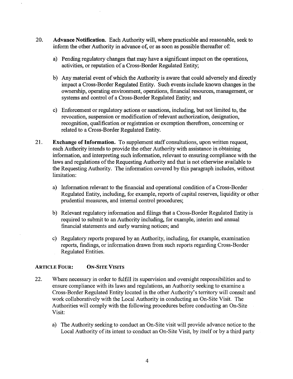- 20. Advance Notification. Each Authority will, where practicable and reasonable, seek to inform the other Authority in advance of, or as soon as possible thereafter of:
	- a) Pending regulatory changes that may have a significant impact on the operations, activities, or reputation of a Cross-Border Regulated Entity;
	- b) Any material event of which the Authority is aware that could adversely and directly impact a Cross-Border Regulated Entity. Such events include known changes in the ownership, operating environment, operations, financial resources, management, or systems and control of a Cross-Border Regulated Entity; and
	- c) Enforcement or regulatory actions or sanctions, including, but not limited to, the revocation, suspension or modification of relevant authorization, designation, recognition, qualification or registration or exemption therefrom, concerning or related to a Cross-Border Regulated Entity.
- 21. Exchange of Information. To supplement staff consultations, upon written request, each Authority intends to provide the other Authority with assistance in obtaining information, and interpreting such information, relevant to ensuring compliance with the laws and regulations of the Requesting Authority and that is not otherwise available to the Requesting Authority. The information covered by this paragraph includes, without limitation:
	- a) Information relevant to the financial and operational condition of a Cross-Border Regulated Entity, including, for example, reports of capital reserves, liquidity or other prudential measures, and internal control procedures;
	- b) Relevant regulatory information and filings that a Cross-Border Regulated Entity is required to submit to an Authority including, for example, interim and annual financial statements and early warning notices; and
	- c) Regulatory reports prepared by an Authority, including, for example, examination reports, findings, or information drawn from such reports regarding Cross-Border Regulated Entities.

#### ARTICLE FOUR: ON-SITE VISITS

- 22. Where necessary in order to fulfill its supervision and oversight responsibilities and to ensure compliance with its laws and regulations, an Authority seeking to examine a Cross-Border Regulated Entity located in the other Authority's territory will consult and work collaboratively with the Local Authority in conducting an On-Site Visit. The Authorities will comply with the following procedures before conducting an On-Site Visit:
	- a) The Authority seeking to conduct an On-Site visit will provide advance notice to the Local Authority of its intent to conduct an On-Site Visit, by itself or by a third party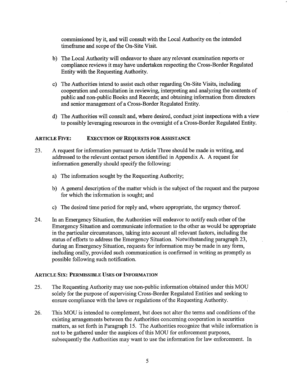commissioned by it, and will consult with the Local Authority on the intended timeframe and scope of the On-Site Visit.

- b) The Local Authority will endeavor to share any relevant examination reports or compliance reviews it may have undertaken respecting the Cross-Border Regulated Entity with the Requesting Authority.
- c) The Authorities intend to assist each other regarding On-Site Visits, including cooperation and consultation in reviewing, interpreting and analyzing the contents of public and non-public Books and Records; and obtaining information from directors and senior management of a Cross-Border Regulated Entity.
- d) The Authorities will consult and, where desired, conduct joint inspections with a view to possibly leveraging resources in the oversight of a Cross-Border Regulated Entity.

#### ARTICLE FIVE: EXECUTION OF REQUESTS FOR ASSISTANCE

- 23. A request for information pursuant to Article Three should be made in writing, and addressed to the relevant contact person identified in Appendix A. A request for information generally should specify the following:
	- a) The information sought by the Requesting Authority;
	- b) A general description of the matter which is the subject of the request and the purpose for which the information is sought; and
	- c) The desired time period for reply and, where appropriate, the urgency thereof.
- 24. In an Emergency Situation, the Authorities will endeavor to notify each other of the Emergency Situation and communicate information to the other as would be appropriate in the particular circumstances, taking into account all relevant factors, including the status of efforts to address the Emergency Situation. Notwithstanding paragraph 23, during an Emergency Situation, requests for information may be made in any form, including orally, provided such communication is confirmed in writing as promptly as possible following such notification.

#### ARTICLE SIX: PERMISSIBLE USES OF INFORMATION

- 25. The Requesting Authority may use non-public information obtained under this MOU solely for the purpose of supervising Cross-Border Regulated Entities and seeking to ensure compliance with the laws or regulations of the Requesting Authority.
- 26. This MOU is intended to complement, but does not alter the terms and conditions of the existing arrangements between the Authorities concerning cooperation in securities matters, as set forth in Paragraph 15. The Authorities recognize that while information is not to be gathered under the auspices of this MOD for enforcement purposes, subsequently the Authorities may want to use the information for law enforcement. In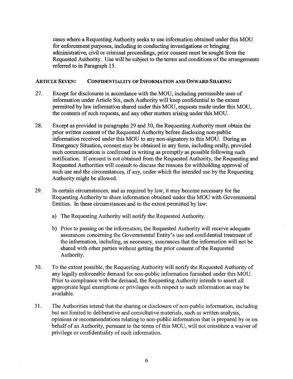cases where a Requesting Authority seeks to use information obtained under this MOU for enforcement purposes, including in conducting investigations or bringing administrative, civil or criminal proceedings, prior consent must be sought from the Requested Authority. Use will be subject to the terms and conditions of the arrangements referred to in Paragraph 15.

#### ARTICLE SEVEN: CONFIDENTIALITY OF INFORMATION AND ONWARD SHARING

- 27. Except for disclosures in accordance with the MOU, including permissible uses of information under Article Six, each Authority will keep confidential to the extent permitted by law information shared under this MOU, requests made under this MOU, the contents of such requests, and any other matters arising under this MOD.
- 28. Except as provided in paragraphs 29 and 30, the Requesting Authority must obtain the prior written consent of the Requested Authority before disclosing non-public information received under this MOU to any non-signatory to this MOU. During an Emergency Situation, consent may be obtained in any form, including orally, provided such communication is confirmed in writing as promptly as possible following such notification. If consent is not obtained from the Requested Authority, the Requesting and Requested Authorities will consult to discuss the reasons for withholding approval of such use and the circumstances, if any, under which the intended use by the Requesting Authority might be allowed.
- 29. In certain circumstances, and as required by law, it may become necessary for the Requesting Authority to share information obtained under this MOU with Governmental Entities. In these circumstances and to the extent pennitted by law:
	- a) The Requesting Authority will notify the Requested Authority.
	- b) Prior to passing on the information, the Requested Authority will receive adequate assurances concerning the Governmental Entity's use and confidential treatment of the infonnation, including, as necessary, assurances that the infonnation will not be shared with other parties without getting the prior consent of the Requested Authority.
- 30. To the extent possible, the Requesting Authority will notify the Requested Authority of any legally enforceable demand for non-public infonnation furnished under this MOD. Prior to compliance with the demand, the Requesting Authority intends to assert all appropriate legal exemptions or privileges with respect to such infonnation as may be available.
- 31. The Authorities intend that the sharing or disclosure of non-public information, including but not limited to deliberative and consultative materials, such as written analysis, opinions or recommendations relating to non-public infonnation that is prepared by or on behalf of an Authority, pursuant to the terms of this MOU, will not constitute a waiver of privilege or confidentiality of such information.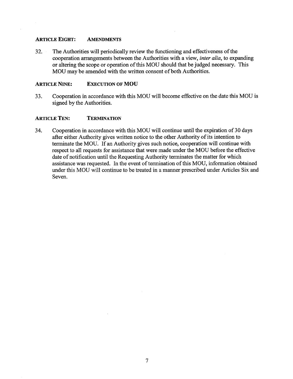#### ARTICLE EIGHT: AMENDMENTS

32. The Authorities will periodically review the functioning and effectiveness of the cooperation arrangements between the Authorities with a view, *inter alia,* to expanding or altering the scope or operation ofthis MOU should that be judged necessary. This MOU may be amended with the written consent of both Authorities.

#### ARTICLE NINE: EXECUTION OF MOU

33. Cooperation in accordance with this MOU will become effective on the date this MOU is signed by the Authorities.

#### ARTICLE TEN: TERMINATION

34. Cooperation in accordance with this MOU will continue until the expiration of 30 days after either Authority gives written notice to the other Authority of its intention to terminate the MOU. If an Authority gives such notice, cooperation will continue with respect to all requests for assistance that were made under the MOU before the effective date of notification until the Requesting Authority terminates the matter for which assistance was requested. In the event of termination of this MOU, information obtained under this MOU will continue to be treated in a manner prescribed under Articles Six and Seven.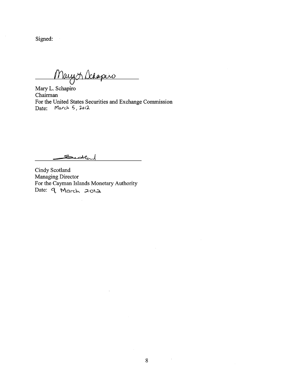Signed:

Maryor Schapiro

Mary L. Schapiro Chairman For the United States Securities and Exchange Commission Date: March 5, 2012

 $\bar{z}$ 

Seweland

Cindy Scotland Managing Director For the Cayman Islands Monetary Authority Date: 9 March 2012

 $\hat{\mathcal{L}}$